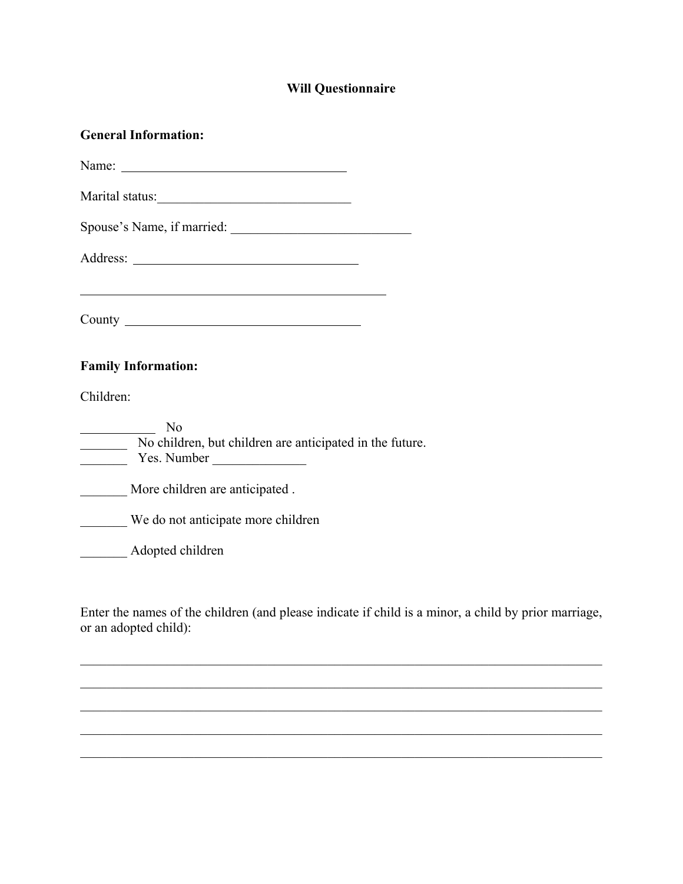## **Will Questionnaire**

| <b>General Information:</b>                                                   |
|-------------------------------------------------------------------------------|
|                                                                               |
|                                                                               |
|                                                                               |
|                                                                               |
|                                                                               |
|                                                                               |
| <b>Family Information:</b>                                                    |
| Children:                                                                     |
| No<br>No children, but children are anticipated in the future.<br>Yes. Number |
| More children are anticipated.                                                |
| We do not anticipate more children                                            |
| Adopted children                                                              |
|                                                                               |

Enter the names of the children (and please indicate if child is a minor, a child by prior marriage, or an adopted child):

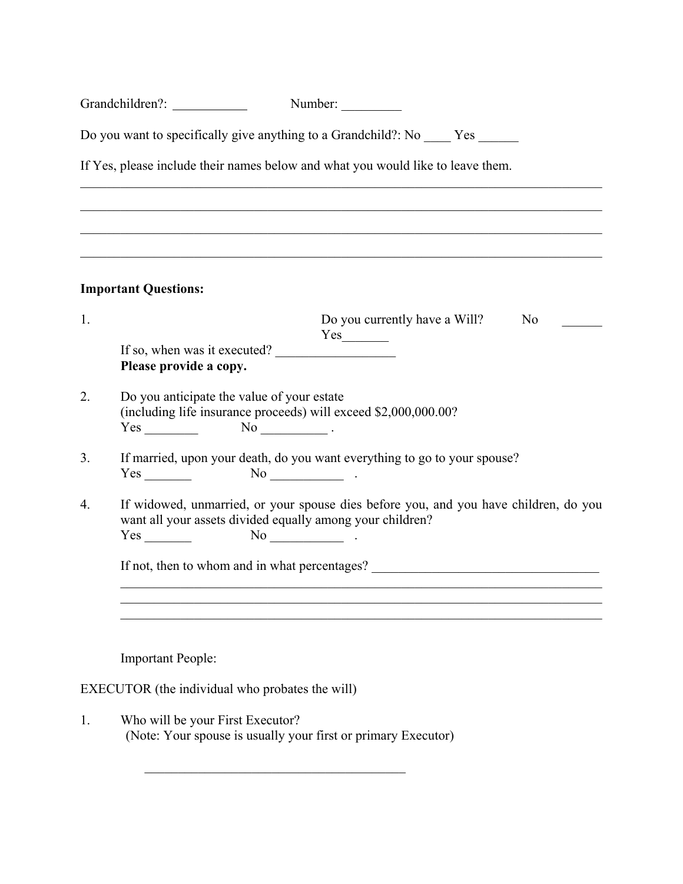|    | Grandchildren?:                                                                                                                     |  | Number:                                                                                                                                                                       |  |    |
|----|-------------------------------------------------------------------------------------------------------------------------------------|--|-------------------------------------------------------------------------------------------------------------------------------------------------------------------------------|--|----|
|    | Do you want to specifically give anything to a Grandchild?: No _____ Yes ______                                                     |  |                                                                                                                                                                               |  |    |
|    | If Yes, please include their names below and what you would like to leave them.                                                     |  |                                                                                                                                                                               |  |    |
|    |                                                                                                                                     |  |                                                                                                                                                                               |  |    |
|    |                                                                                                                                     |  |                                                                                                                                                                               |  |    |
|    | <b>Important Questions:</b>                                                                                                         |  |                                                                                                                                                                               |  |    |
| 1. |                                                                                                                                     |  | Do you currently have a Will?                                                                                                                                                 |  | No |
|    | If so, when was it executed?<br>Please provide a copy.                                                                              |  |                                                                                                                                                                               |  |    |
| 2. | Do you anticipate the value of your estate<br>(including life insurance proceeds) will exceed \$2,000,000.00?<br>$Yes \_$ No $\_$ . |  |                                                                                                                                                                               |  |    |
| 3. | $Yes$ No $\qquad \qquad$ No $\qquad \qquad$                                                                                         |  | If married, upon your death, do you want everything to go to your spouse?                                                                                                     |  |    |
| 4. |                                                                                                                                     |  | If widowed, unmarried, or your spouse dies before you, and you have children, do you<br>want all your assets divided equally among your children?<br>$\overline{\text{No}}$ . |  |    |
|    | If not, then to whom and in what percentages? __________________________________                                                    |  |                                                                                                                                                                               |  |    |
|    |                                                                                                                                     |  |                                                                                                                                                                               |  |    |
|    | <b>Important People:</b>                                                                                                            |  |                                                                                                                                                                               |  |    |
|    | EXECUTOR (the individual who probates the will)                                                                                     |  |                                                                                                                                                                               |  |    |
|    |                                                                                                                                     |  |                                                                                                                                                                               |  |    |

1. Who will be your First Executor? (Note: Your spouse is usually your first or primary Executor)

 $\mathcal{L}_\text{max} = \frac{1}{2} \sum_{i=1}^{n} \frac{1}{2} \sum_{i=1}^{n} \frac{1}{2} \sum_{i=1}^{n} \frac{1}{2} \sum_{i=1}^{n} \frac{1}{2} \sum_{i=1}^{n} \frac{1}{2} \sum_{i=1}^{n} \frac{1}{2} \sum_{i=1}^{n} \frac{1}{2} \sum_{i=1}^{n} \frac{1}{2} \sum_{i=1}^{n} \frac{1}{2} \sum_{i=1}^{n} \frac{1}{2} \sum_{i=1}^{n} \frac{1}{2} \sum_{i=1}^{n} \frac{1$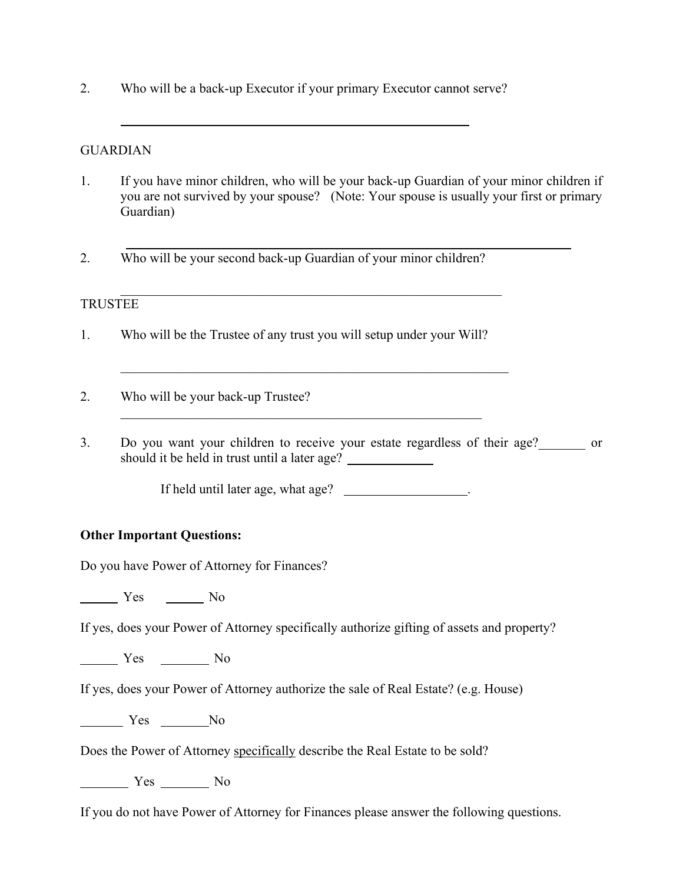2. Who will be a back-up Executor if your primary Executor cannot serve?

## GUARDIAN

- 1. If you have minor children, who will be your back-up Guardian of your minor children if you are not survived by your spouse? (Note: Your spouse is usually your first or primary Guardian)
- 2. Who will be your second back-up Guardian of your minor children?

## TRUSTEE

- 1. Who will be the Trustee of any trust you will setup under your Will?
- 2. Who will be your back-up Trustee?
- 3. Do you want your children to receive your estate regardless of their age? should it be held in trust until a later age?

If held until later age, what age?

## **Other Important Questions:**

Do you have Power of Attorney for Finances?

Yes No

If yes, does your Power of Attorney specifically authorize gifting of assets and property?

Yes No

If yes, does your Power of Attorney authorize the sale of Real Estate? (e.g. House)

Yes No

Does the Power of Attorney specifically describe the Real Estate to be sold?

Yes No

If you do not have Power of Attorney for Finances please answer the following questions.